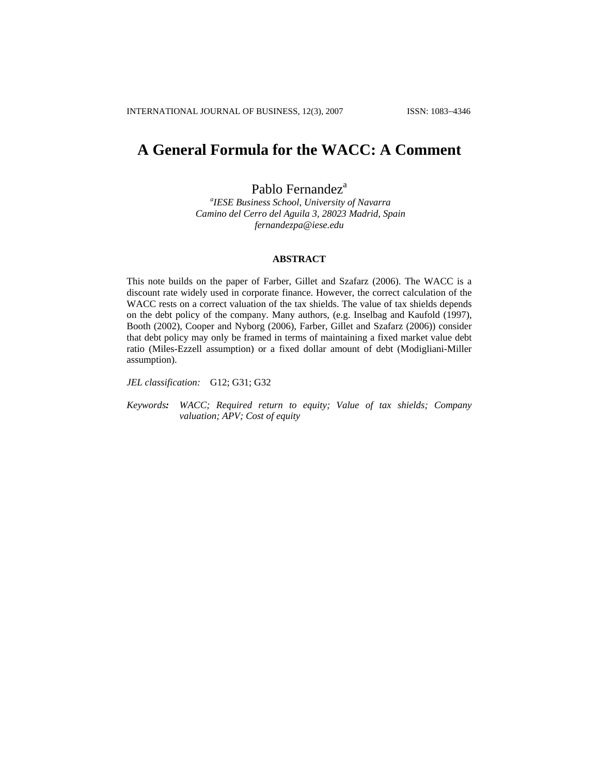# **A General Formula for the WACC: A Comment**

Pablo Fernandez<sup>a</sup>

*a IESE Business School, University of Navarra Camino del Cerro del Aguila 3, 28023 Madrid, Spain [fernandezpa@iese.edu](mailto:fernandezpa@iese.edu)*

## **ABSTRACT**

This note builds on the paper of Farber, Gillet and Szafarz (2006). The WACC is a discount rate widely used in corporate finance. However, the correct calculation of the WACC rests on a correct valuation of the tax shields. The value of tax shields depends on the debt policy of the company. Many authors, (e.g. Inselbag and Kaufold (1997), Booth (2002), Cooper and Nyborg (2006), Farber, Gillet and Szafarz (2006)) consider that debt policy may only be framed in terms of maintaining a fixed market value debt ratio (Miles-Ezzell assumption) or a fixed dollar amount of debt (Modigliani-Miller assumption).

*JEL classification:* G12; G31; G32

*Keywords: WACC; Required return to equity; Value of tax shields; Company valuation; APV; Cost of equity*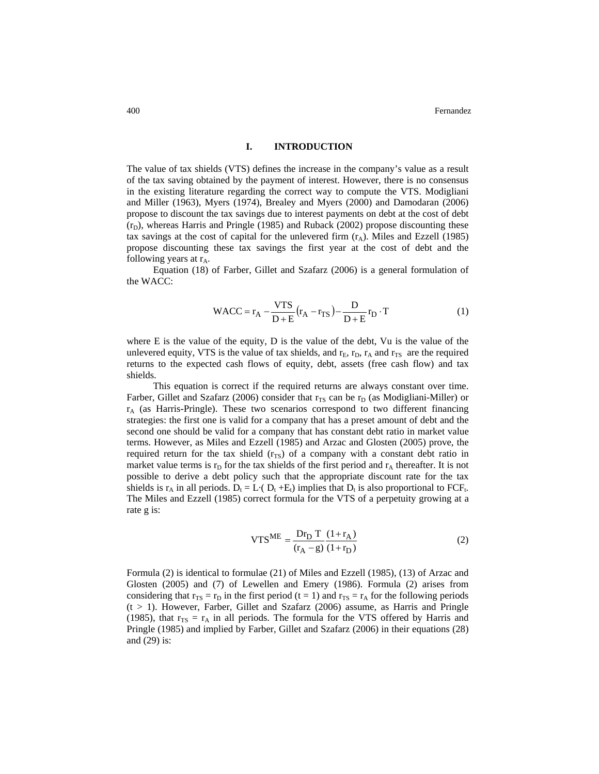#### **I. INTRODUCTION**

The value of tax shields (VTS) defines the increase in the company's value as a result of the tax saving obtained by the payment of interest. However, there is no consensus in the existing literature regarding the correct way to compute the VTS. Modigliani and Miller (1963), Myers (1974), Brealey and Myers (2000) and Damodaran (2006) propose to discount the tax savings due to interest payments on debt at the cost of debt  $(r<sub>D</sub>)$ , whereas Harris and Pringle (1985) and Ruback (2002) propose discounting these tax savings at the cost of capital for the unlevered firm  $(r_A)$ . Miles and Ezzell (1985) propose discounting these tax savings the first year at the cost of debt and the following years at  $r_A$ .

Equation (18) of Farber, Gillet and Szafarz (2006) is a general formulation of the WACC:

$$
WACC = r_A - \frac{VTS}{D+E}(r_A - r_{TS}) - \frac{D}{D+E}r_D \cdot T
$$
 (1)

where E is the value of the equity, D is the value of the debt, Vu is the value of the unlevered equity, VTS is the value of tax shields, and  $r<sub>E</sub>$ ,  $r<sub>D</sub>$ ,  $r<sub>A</sub>$  and  $r<sub>TS</sub>$  are the required returns to the expected cash flows of equity, debt, assets (free cash flow) and tax shields.

This equation is correct if the required returns are always constant over time. Farber, Gillet and Szafarz (2006) consider that  $r_{TS}$  can be  $r_D$  (as Modigliani-Miller) or  $r_A$  (as Harris-Pringle). These two scenarios correspond to two different financing strategies: the first one is valid for a company that has a preset amount of debt and the second one should be valid for a company that has constant debt ratio in market value terms. However, as Miles and Ezzell (1985) and Arzac and Glosten (2005) prove, the required return for the tax shield  $(r_{TS})$  of a company with a constant debt ratio in market value terms is  $r<sub>D</sub>$  for the tax shields of the first period and  $r<sub>A</sub>$  thereafter. It is not possible to derive a debt policy such that the appropriate discount rate for the tax shields is  $r_A$  in all periods.  $D_t = L \cdot (D_t + E_t)$  implies that  $D_t$  is also proportional to FCF<sub>t</sub>. The Miles and Ezzell (1985) correct formula for the VTS of a perpetuity growing at a rate g is:

$$
VTSME = \frac{Dr_{D} T (1 + r_{A})}{(r_{A} - g) (1 + r_{D})}
$$
 (2)

Formula (2) is identical to formulae (21) of Miles and Ezzell (1985), (13) of Arzac and Glosten (2005) and (7) of Lewellen and Emery (1986). Formula (2) arises from considering that  $r_{TS} = r_D$  in the first period (t = 1) and  $r_{TS} = r_A$  for the following periods  $(t > 1)$ . However, Farber, Gillet and Szafarz (2006) assume, as Harris and Pringle (1985), that  $r_{TS} = r_A$  in all periods. The formula for the VTS offered by Harris and Pringle (1985) and implied by Farber, Gillet and Szafarz (2006) in their equations (28) and (29) is: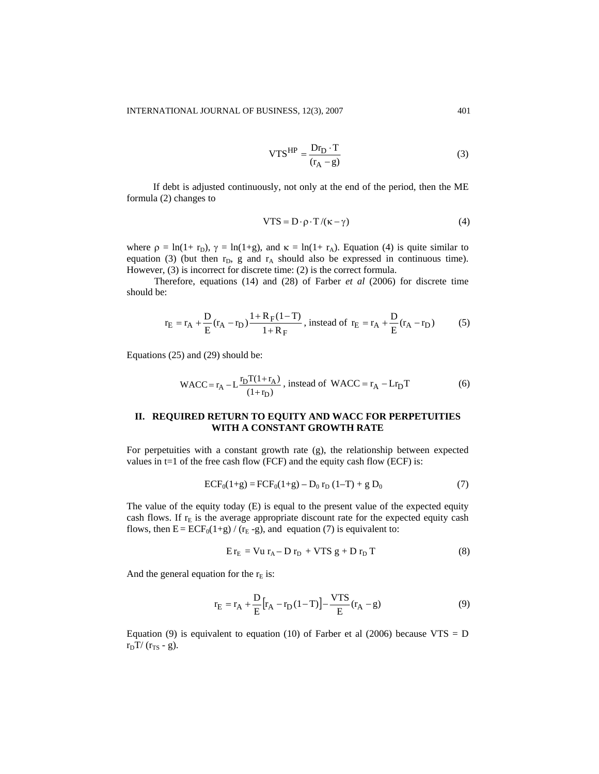$$
VTS^{HP} = \frac{Dr_D \cdot T}{(r_A - g)}
$$
 (3)

If debt is adjusted continuously, not only at the end of the period, then the ME formula (2) changes to

$$
VTS = D \cdot \rho \cdot T / (\kappa - \gamma)
$$
 (4)

where  $\rho = \ln(1+r_D)$ ,  $\gamma = \ln(1+g)$ , and  $\kappa = \ln(1+r_A)$ . Equation (4) is quite similar to equation (3) (but then  $r_D$ , g and  $r_A$  should also be expressed in continuous time). However, (3) is incorrect for discrete time: (2) is the correct formula.

Therefore, equations (14) and (28) of Farber *et al* (2006) for discrete time should be:

$$
r_{E} = r_{A} + \frac{D}{E}(r_{A} - r_{D}) \frac{1 + R_{F}(1 - T)}{1 + R_{F}},
$$
 instead of  $r_{E} = r_{A} + \frac{D}{E}(r_{A} - r_{D})$  (5)

Equations (25) and (29) should be:

WACC = 
$$
r_A - L \frac{r_D T (1 + r_A)}{(1 + r_D)}
$$
, instead of WACC =  $r_A - L r_D T$  (6)

## **II. REQUIRED RETURN TO EQUITY AND WACC FOR PERPETUITIES WITH A CONSTANT GROWTH RATE**

For perpetuities with a constant growth rate (g), the relationship between expected values in  $t=1$  of the free cash flow (FCF) and the equity cash flow (ECF) is:

$$
ECF_0(1+g) = FCF_0(1+g) - D_0 r_D (1-T) + g D_0
$$
 (7)

The value of the equity today (E) is equal to the present value of the expected equity cash flows. If  $r<sub>E</sub>$  is the average appropriate discount rate for the expected equity cash flows, then  $E = ECF_0(1+g) / (r_E - g)$ , and equation (7) is equivalent to:

$$
E r_E = V u r_A - D r_D + V T S g + D r_D T \qquad (8)
$$

And the general equation for the  $r_E$  is:

$$
r_{E} = r_{A} + \frac{D}{E} [r_{A} - r_{D}(1 - T)] - \frac{VTS}{E} (r_{A} - g)
$$
(9)

Equation (9) is equivalent to equation (10) of Farber et al (2006) because  $VTS = D$  $r_D T / (r_{TS} - g)$ .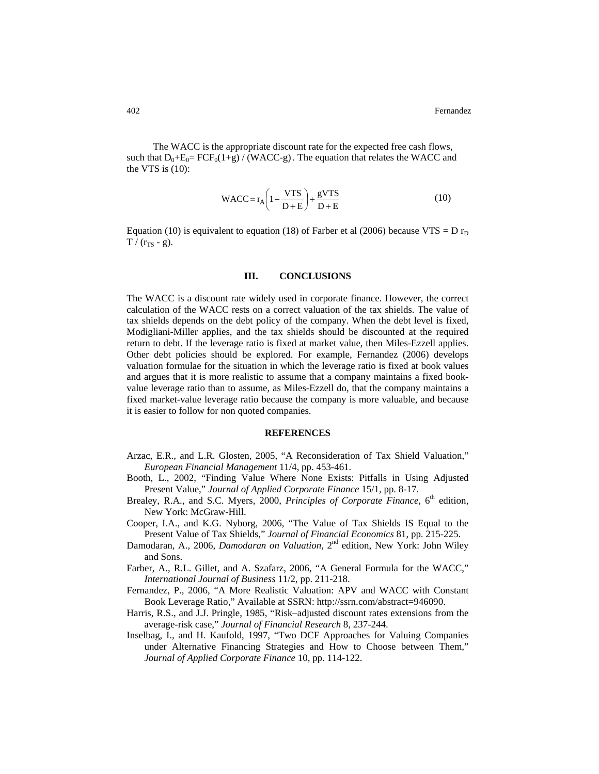The WACC is the appropriate discount rate for the expected free cash flows, such that  $D_0+E_0=FCF_0(1+g)/(WACC-g)$ . The equation that relates the WACC and the VTS is  $(10)$ :

$$
WACC = r_A \left(1 - \frac{VTS}{D + E}\right) + \frac{gVTS}{D + E}
$$
 (10)

Equation (10) is equivalent to equation (18) of Farber et al (2006) because VTS = D  $r_D$  $T / (r_{TS} - g)$ .

### **III. CONCLUSIONS**

The WACC is a discount rate widely used in corporate finance. However, the correct calculation of the WACC rests on a correct valuation of the tax shields. The value of tax shields depends on the debt policy of the company. When the debt level is fixed, Modigliani-Miller applies, and the tax shields should be discounted at the required return to debt. If the leverage ratio is fixed at market value, then Miles-Ezzell applies. Other debt policies should be explored. For example, Fernandez (2006) develops valuation formulae for the situation in which the leverage ratio is fixed at book values and argues that it is more realistic to assume that a company maintains a fixed bookvalue leverage ratio than to assume, as Miles-Ezzell do, that the company maintains a fixed market-value leverage ratio because the company is more valuable, and because it is easier to follow for non quoted companies.

### **REFERENCES**

- Arzac, E.R., and L.R. Glosten, 2005, "A Reconsideration of Tax Shield Valuation," *European Financial Management* 11/4, pp. 453-461.
- Booth, L., 2002, "Finding Value Where None Exists: Pitfalls in Using Adjusted Present Value," *Journal of Applied Corporate Finance* 15/1*,* pp. 8-17.
- Brealey, R.A., and S.C. Myers, 2000, *Principles of Corporate Finance*, 6<sup>th</sup> edition, New York: McGraw-Hill.
- Cooper, I.A., and K.G. Nyborg, 2006, "The Value of Tax Shields IS Equal to the Present Value of Tax Shields," *Journal of Financial Economics* 81, pp. 215-225.
- Damodaran, A., 2006, *Damodaran on Valuation*, 2nd edition, New York: John Wiley and Sons.
- Farber, A., R.L. Gillet, and A. Szafarz, 2006, "A General Formula for the WACC," *International Journal of Business* 11/2, pp. 211-218.
- Fernandez, P., 2006, "A More Realistic Valuation: APV and WACC with Constant Book Leverage Ratio," Available at SSRN:<http://ssrn.com/abstract=946090>.
- Harris, R.S., and J.J. Pringle, 1985, "Risk–adjusted discount rates extensions from the average-risk case," *Journal of Financial Research* 8, 237-244.
- Inselbag, I., and H. Kaufold, 1997, "Two DCF Approaches for Valuing Companies under Alternative Financing Strategies and How to Choose between Them," *Journal of Applied Corporate Finance* 10, pp. 114-122.